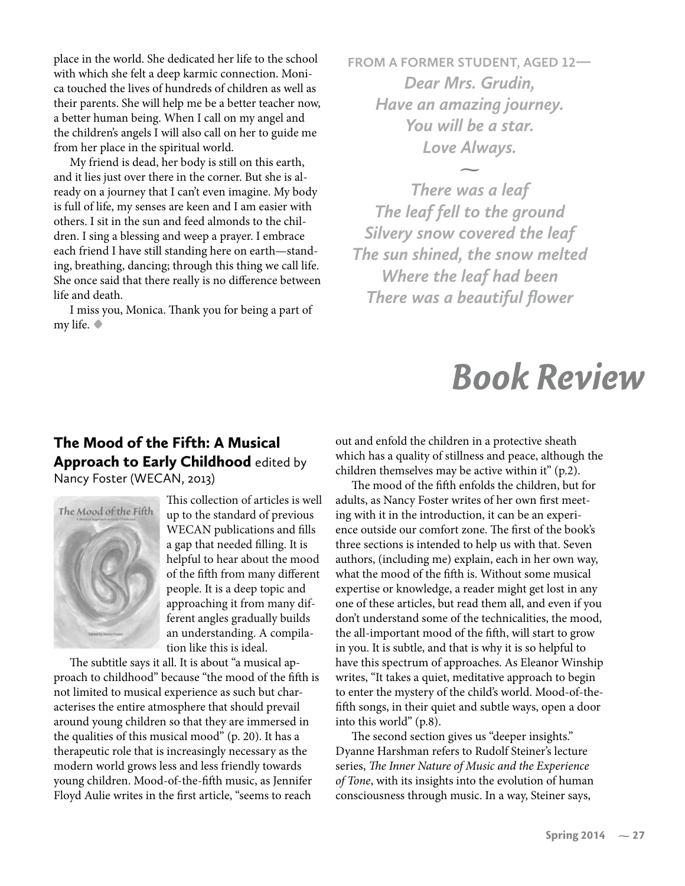## *Book Review*

## The Mood of the Fifth: A Musical Approach to Early Childhood edited by Nancy Foster (WECAN, 2013)



This collection of articles is well up to the standard of previous WECAN publications and fills a gap that needed filling. It is helpful to hear about the mood of the fifth from many different people. It is a deep topic and approaching it from many different angles gradually builds an understanding. A compilation like this is ideal.

The subtitle says it all. It is about "a musical approach to childhood" because "the mood of the fifth is not limited to musical experience as such but characterises the entire atmosphere that should prevail around young children so that they are immersed in the qualities of this musical mood" (p. 20). It has a therapeutic role that is increasingly necessary as the modern world grows less and less friendly towards young children. Mood-of-the-fifth music, as Jennifer Floyd Aulie writes in the first article, "seems to reach

out and enfold the children in a protective sheath which has a quality of stillness and peace, although the children themselves may be active within it" (p.2).

The mood of the fifth enfolds the children, but for adults, as Nancy Foster writes of her own first meeting with it in the introduction, it can be an experience outside our comfort zone. The first of the book's three sections is intended to help us with that. Seven authors, (including me) explain, each in her own way, what the mood of the fifth is. Without some musical expertise or knowledge, a reader might get lost in any one of these articles, but read them all, and even if you don't understand some of the technicalities, the mood, the all-important mood of the fifth, will start to grow in you. It is subtle, and that is why it is so helpful to have this spectrum of approaches. As Eleanor Winship writes, "It takes a quiet, meditative approach to begin to enter the mystery of the child's world. Mood-of-thefifth songs, in their quiet and subtle ways, open a door into this world" (p.8).

The second section gives us "deeper insights." Dyanne Harshman refers to Rudolf Steiner's lecture series, The Inner Nature of Music and the Experience of Tone, with its insights into the evolution of human consciousness through music. In a way, Steiner says,